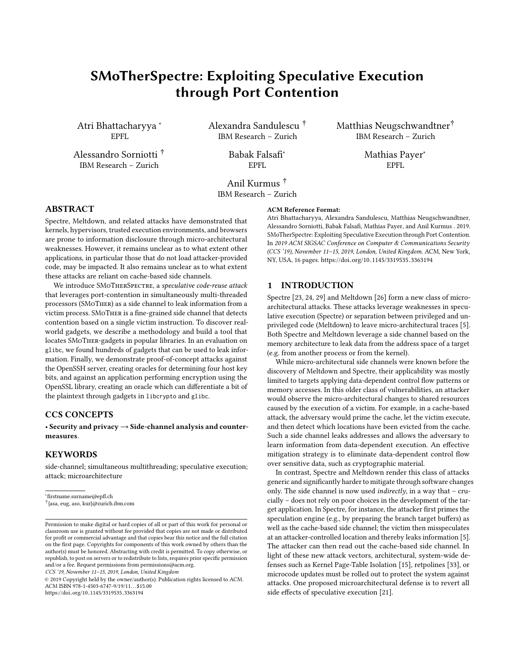# SMoTherSpectre: Exploiting Speculative Execution through Port Contention

Atri Bhattacharyya <sup>∗</sup> EPFL

Alessandro Sorniotti † IBM Research – Zurich

Alexandra Sandulescu † IBM Research – Zurich

> Babak Falsafi<sup>∗</sup> EPFL

Matthias Neugschwandtner† IBM Research – Zurich

EPFL

Mathias Payer<sup>∗</sup>

Anil Kurmus † IBM Research – Zurich

## ABSTRACT

Spectre, Meltdown, and related attacks have demonstrated that kernels, hypervisors, trusted execution environments, and browsers are prone to information disclosure through micro-architectural weaknesses. However, it remains unclear as to what extent other applications, in particular those that do not load attacker-provided code, may be impacted. It also remains unclear as to what extent these attacks are reliant on cache-based side channels.

We introduce SMOTHERSPECTRE, a speculative code-reuse attack that leverages port-contention in simultaneously multi-threaded processors (SMoTher) as a side channel to leak information from a victim process. SMoTher is a fine-grained side channel that detects contention based on a single victim instruction. To discover realworld gadgets, we describe a methodology and build a tool that locates SMoTher-gadgets in popular libraries. In an evaluation on glibc, we found hundreds of gadgets that can be used to leak information. Finally, we demonstrate proof-of-concept attacks against the OpenSSH server, creating oracles for determining four host key bits, and against an application performing encryption using the OpenSSL library, creating an oracle which can differentiate a bit of the plaintext through gadgets in libcrypto and glibc.

## CCS CONCEPTS

• Security and privacy → Side-channel analysis and countermeasures.

#### KEYWORDS

side-channel; simultaneous multithreading; speculative execution; attack; microarchitecture

CCS '19, November 11–15, 2019, London, United Kingdom

#### ACM Reference Format:

Atri Bhattacharyya, Alexandra Sandulescu, Matthias Neugschwandtner, Alessandro Sorniotti, Babak Falsafi, Mathias Payer, and Anil Kurmus . 2019. SMoTherSpectre: Exploiting Speculative Execution through Port Contention. In 2019 ACM SIGSAC Conference on Computer & Communications Security (CCS '19), November 11–15, 2019, London, United Kingdom. ACM, New York, NY, USA, [16](#page-15-0) pages. https://doi.org/10.[1145/3319535](https://doi.org/10.1145/3319535.3363194).<sup>3363194</sup>

#### 1 INTRODUCTION

Spectre [\[23,](#page-13-0) [24,](#page-13-1) [29\]](#page-13-2) and Meltdown [\[26\]](#page-13-3) form a new class of microarchitectural attacks. These attacks leverage weaknesses in speculative execution (Spectre) or separation between privileged and unprivileged code (Meltdown) to leave micro-architectural traces [\[5\]](#page-13-4). Both Spectre and Meltdown leverage a side channel based on the memory architecture to leak data from the address space of a target (e.g. from another process or from the kernel).

While micro-architectural side channels were known before the discovery of Meltdown and Spectre, their applicability was mostly limited to targets applying data-dependent control flow patterns or memory accesses. In this older class of vulnerabilities, an attacker would observe the micro-architectural changes to shared resources caused by the execution of a victim. For example, in a cache-based attack, the adversary would prime the cache, let the victim execute, and then detect which locations have been evicted from the cache. Such a side channel leaks addresses and allows the adversary to learn information from data-dependent execution. An effective mitigation strategy is to eliminate data-dependent control flow over sensitive data, such as cryptographic material.

In contrast, Spectre and Meltdown render this class of attacks generic and significantly harder to mitigate through software changes only. The side channel is now used *indirectly*, in a way that – crucially – does not rely on poor choices in the development of the target application. In Spectre, for instance, the attacker first primes the speculation engine (e.g., by preparing the branch target buffers) as well as the cache-based side channel; the victim then misspeculates at an attacker-controlled location and thereby leaks information [\[5\]](#page-13-4). The attacker can then read out the cache-based side channel. In light of these new attack vectors, architectural, system-wide defenses such as Kernel Page-Table Isolation [\[15\]](#page-13-5), retpolines [\[33\]](#page-13-6), or microcode updates must be rolled out to protect the system against attacks. One proposed microarchitectural defense is to revert all side effects of speculative execution [\[21\]](#page-13-7).

<sup>∗</sup>firstname.surname@epfl.ch

<sup>†</sup> {asa, eug, aso, kur}@zurich.ibm.com

Permission to make digital or hard copies of all or part of this work for personal or classroom use is granted without fee provided that copies are not made or distributed for profit or commercial advantage and that copies bear this notice and the full citation on the first page. Copyrights for components of this work owned by others than the author(s) must be honored. Abstracting with credit is permitted. To copy otherwise, or republish, to post on servers or to redistribute to lists, requires prior specific permission and/or a fee. Request permissions from permissions@acm.org.

<sup>©</sup> 2019 Copyright held by the owner/author(s). Publication rights licensed to ACM. ACM ISBN 978-1-4503-6747-9/19/11...\$15.00 https://doi.org/10.[1145/3319535](https://doi.org/10.1145/3319535.3363194).<sup>3363194</sup>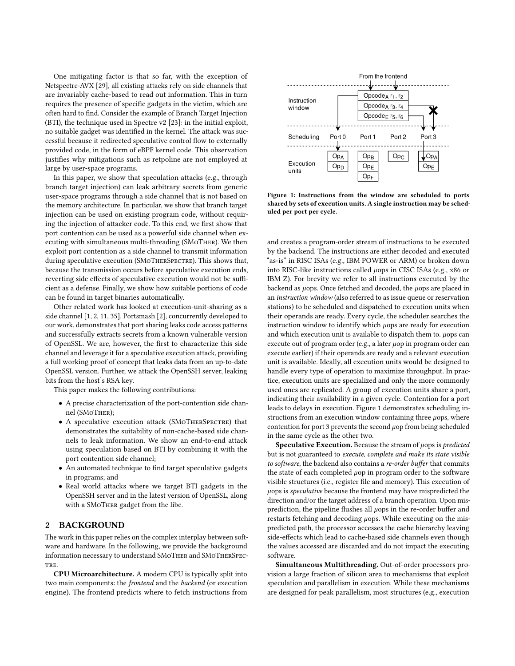One mitigating factor is that so far, with the exception of Netspectre-AVX [\[29\]](#page-13-2), all existing attacks rely on side channels that are invariably cache-based to read out information. This in turn requires the presence of specific gadgets in the victim, which are often hard to find. Consider the example of Branch Target Injection (BTI), the technique used in Spectre v2 [\[23\]](#page-13-0): in the initial exploit, no suitable gadget was identified in the kernel. The attack was successful because it redirected speculative control flow to externally provided code, in the form of eBPF kernel code. This observation justifies why mitigations such as retpoline are not employed at large by user-space programs.

In this paper, we show that speculation attacks (e.g., through branch target injection) can leak arbitrary secrets from generic user-space programs through a side channel that is not based on the memory architecture. In particular, we show that branch target injection can be used on existing program code, without requiring the injection of attacker code. To this end, we first show that port contention can be used as a powerful side channel when executing with simultaneous multi-threading (SMoTher). We then exploit port contention as a side channel to transmit information during speculative execution (SMoTherSpectre). This shows that, because the transmission occurs before speculative execution ends, reverting side effects of speculative execution would not be sufficient as a defense. Finally, we show how suitable portions of code can be found in target binaries automatically.

Other related work has looked at execution-unit-sharing as a side channel [\[1,](#page-13-8) [2,](#page-13-9) [11,](#page-13-10) [35\]](#page-13-11). Portsmash [\[2\]](#page-13-9), concurrently developed to our work, demonstrates that port sharing leaks code access patterns and successfully extracts secrets from a known vulnerable version of OpenSSL. We are, however, the first to characterize this side channel and leverage it for a speculative execution attack, providing a full working proof of concept that leaks data from an up-to-date OpenSSL version. Further, we attack the OpenSSH server, leaking bits from the host's RSA key.

This paper makes the following contributions:

- A precise characterization of the port-contention side channel (SMoTher);
- A speculative execution attack (SMoTherSpectre) that demonstrates the suitability of non-cache-based side channels to leak information. We show an end-to-end attack using speculation based on BTI by combining it with the port contention side channel;
- An automated technique to find target speculative gadgets in programs; and
- Real world attacks where we target BTI gadgets in the OpenSSH server and in the latest version of OpenSSL, along with a SMoTher gadget from the libc.

## 2 BACKGROUND

The work in this paper relies on the complex interplay between software and hardware. In the following, we provide the background information necessary to understand SMoTher and SMoTherSpec-TRE.

CPU Microarchitecture. A modern CPU is typically split into two main components: the frontend and the backend (or execution engine). The frontend predicts where to fetch instructions from

<span id="page-1-0"></span>

Figure 1: Instructions from the window are scheduled to ports shared by sets of execution units. A single instruction may be scheduled per port per cycle.

and creates a program-order stream of instructions to be executed by the backend. The instructions are either decoded and executed "as-is" in RISC ISAs (e.g., IBM POWER or ARM) or broken down into RISC-like instructions called  $\mu$ ops in CISC ISAs (e.g., x86 or IBM Z). For brevity we refer to all instructions executed by the backend as  $\mu$ ops. Once fetched and decoded, the  $\mu$ ops are placed in an instruction window (also referred to as issue queue or reservation stations) to be scheduled and dispatched to execution units when their operands are ready. Every cycle, the scheduler searches the instruction window to identify which µops are ready for execution and which execution unit is available to dispatch them to.  $\mu$ ops can execute out of program order (e.g., a later  $\mu$ op in program order can execute earlier) if their operands are ready and a relevant execution unit is available. Ideally, all execution units would be designed to handle every type of operation to maximize throughput. In practice, execution units are specialized and only the more commonly used ones are replicated. A group of execution units share a port, indicating their availability in a given cycle. Contention for a port leads to delays in execution. [Figure 1](#page-1-0) demonstrates scheduling instructions from an execution window containing three  $\mu$ ops, where contention for port 3 prevents the second  $\mu$ op from being scheduled in the same cycle as the other two.

Speculative Execution. Because the stream of  $\mu$ ops is predicted but is not guaranteed to execute, complete and make its state visible to software, the backend also contains a re-order buffer that commits the state of each completed  $\mu$ op in program order to the software visible structures (i.e., register file and memory). This execution of µops is speculative because the frontend may have mispredicted the direction and/or the target address of a branch operation. Upon misprediction, the pipeline flushes all  $\mu$ ops in the re-order buffer and restarts fetching and decoding µops. While executing on the mispredicted path, the processor accesses the cache hierarchy leaving side-effects which lead to cache-based side channels even though the values accessed are discarded and do not impact the executing software.

Simultaneous Multithreading. Out-of-order processors provision a large fraction of silicon area to mechanisms that exploit speculation and parallelism in execution. While these mechanisms are designed for peak parallelism, most structures (e.g., execution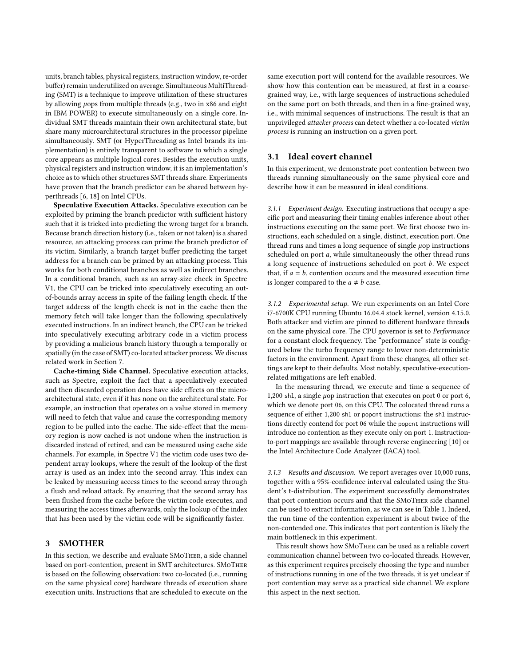units, branch tables, physical registers, instruction window, re-order buffer) remain underutilized on average. Simultaneous MultiThreading (SMT) is a technique to improve utilization of these structures by allowing µops from multiple threads (e.g., two in x86 and eight in IBM POWER) to execute simultaneously on a single core. Individual SMT threads maintain their own architectural state, but share many microarchitectural structures in the processor pipeline simultaneously. SMT (or HyperThreading as Intel brands its implementation) is entirely transparent to software to which a single core appears as multiple logical cores. Besides the execution units, physical registers and instruction window, it is an implementation's choice as to which other structures SMT threads share. Experiments have proven that the branch predictor can be shared between hyperthreads [\[6,](#page-13-12) [18\]](#page-13-13) on Intel CPUs.

Speculative Execution Attacks. Speculative execution can be exploited by priming the branch predictor with sufficient history such that it is tricked into predicting the wrong target for a branch. Because branch direction history (i.e., taken or not taken) is a shared resource, an attacking process can prime the branch predictor of its victim. Similarly, a branch target buffer predicting the target address for a branch can be primed by an attacking process. This works for both conditional branches as well as indirect branches. In a conditional branch, such as an array-size check in Spectre V1, the CPU can be tricked into speculatively executing an outof-bounds array access in spite of the failing length check. If the target address of the length check is not in the cache then the memory fetch will take longer than the following speculatively executed instructions. In an indirect branch, the CPU can be tricked into speculatively executing arbitrary code in a victim process by providing a malicious branch history through a temporally or spatially (in the case of SMT) co-located attacker process. We discuss related work in [Section 7.](#page-11-0)

Cache-timing Side Channel. Speculative execution attacks, such as Spectre, exploit the fact that a speculatively executed and then discarded operation does have side effects on the microarchitectural state, even if it has none on the architectural state. For example, an instruction that operates on a value stored in memory will need to fetch that value and cause the corresponding memory region to be pulled into the cache. The side-effect that the memory region is now cached is not undone when the instruction is discarded instead of retired, and can be measured using cache side channels. For example, in Spectre V1 the victim code uses two dependent array lookups, where the result of the lookup of the first array is used as an index into the second array. This index can be leaked by measuring access times to the second array through a flush and reload attack. By ensuring that the second array has been flushed from the cache before the victim code executes, and measuring the access times afterwards, only the lookup of the index that has been used by the victim code will be significantly faster.

## 3 SMOTHER

In this section, we describe and evaluate SMoTher, a side channel based on port-contention, present in SMT architectures. SMoTher is based on the following observation: two co-located (i.e., running on the same physical core) hardware threads of execution share execution units. Instructions that are scheduled to execute on the same execution port will contend for the available resources. We show how this contention can be measured, at first in a coarsegrained way, i.e., with large sequences of instructions scheduled on the same port on both threads, and then in a fine-grained way, i.e., with minimal sequences of instructions. The result is that an unprivileged attacker process can detect whether a co-located victim process is running an instruction on a given port.

#### 3.1 Ideal covert channel

In this experiment, we demonstrate port contention between two threads running simultaneously on the same physical core and describe how it can be measured in ideal conditions.

3.1.1 Experiment design. Executing instructions that occupy a specific port and measuring their timing enables inference about other instructions executing on the same port. We first choose two instructions, each scheduled on a single, distinct, execution port. One thread runs and times a long sequence of single  $\mu$ op instructions scheduled on port a, while simultaneously the other thread runs a long sequence of instructions scheduled on port b. We expect that, if  $a = b$ , contention occurs and the measured execution time is longer compared to the  $a \neq b$  case.

3.1.2 Experimental setup. We run experiments on an Intel Core i7-6700K CPU running Ubuntu 16.04.4 stock kernel, version 4.15.0. Both attacker and victim are pinned to different hardware threads on the same physical core. The CPU governor is set to Performance for a constant clock frequency. The "performance" state is configured below the turbo frequency range to lower non-deterministic factors in the environment. Apart from these changes, all other settings are kept to their defaults. Most notably, speculative-executionrelated mitigations are left enabled.

In the measuring thread, we execute and time a sequence of 1,200 shl, a single  $\mu$ op instruction that executes on port 0 or port 6, which we denote port 06, on this CPU. The colocated thread runs a sequence of either 1,200 shl or popcnt instructions: the shl instructions directly contend for port 06 while the popcnt instructions will introduce no contention as they execute only on port 1. Instructionto-port mappings are available through reverse engineering [\[10\]](#page-13-14) or the Intel Architecture Code Analyzer (IACA) tool.

3.1.3 Results and discussion. We report averages over 10,000 runs, together with a 95%-confidence interval calculated using the Student's t-distribution. The experiment successfully demonstrates that port contention occurs and that the SMoTher side channel can be used to extract information, as we can see in [Table 1.](#page-3-0) Indeed, the run time of the contention experiment is about twice of the non-contended one. This indicates that port contention is likely the main bottleneck in this experiment.

This result shows how SMoTher can be used as a reliable covert communication channel between two co-located threads. However, as this experiment requires precisely choosing the type and number of instructions running in one of the two threads, it is yet unclear if port contention may serve as a practical side channel. We explore this aspect in the next section.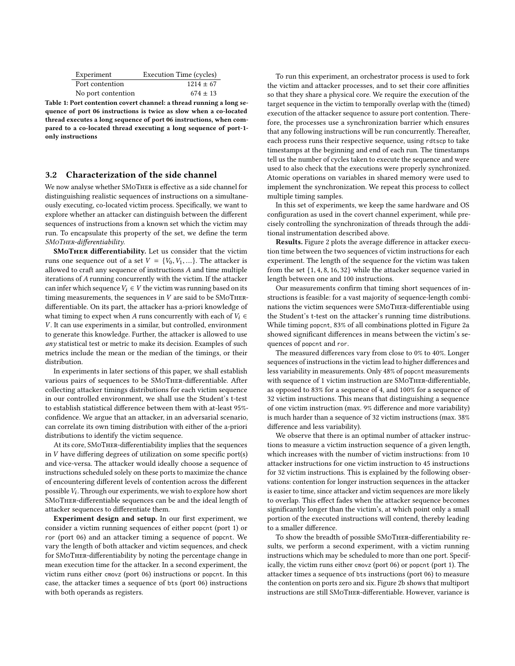<span id="page-3-0"></span>

| Experiment         | Execution Time (cycles) |
|--------------------|-------------------------|
| Port contention    | $1214 \pm 67$           |
| No port contention | $674 \pm 13$            |

Table 1: Port contention covert channel: a thread running a long sequence of port 06 instructions is twice as slow when a co-located thread executes a long sequence of port 06 instructions, when compared to a co-located thread executing a long sequence of port-1 only instructions

## <span id="page-3-1"></span>3.2 Characterization of the side channel

We now analyse whether SMoTher is effective as a side channel for distinguishing realistic sequences of instructions on a simultaneously executing, co-located victim process. Specifically, we want to explore whether an attacker can distinguish between the different sequences of instructions from a known set which the victim may run. To encapsulate this property of the set, we define the term SMoTher-differentiability.

SMoTher differentiability. Let us consider that the victim runs one sequence out of a set  $V = \{V_0, V_1, ...\}$ . The attacker is allowed to craft any sequence of instructions A and time multiple iterations of A running concurrently with the victim. If the attacker can infer which sequence  $V_i \in V$  the victim was running based on its timing measurements, the sequences in  $V$  are said to be SMoTHERdifferentiable. On its part, the attacker has a-priori knowledge of what timing to expect when A runs concurrently with each of  $V_i \in$ V. It can use experiments in a similar, but controlled, environment to generate this knowledge. Further, the attacker is allowed to use any statistical test or metric to make its decision. Examples of such metrics include the mean or the median of the timings, or their distribution.

In experiments in later sections of this paper, we shall establish various pairs of sequences to be SMoTher-differentiable. After collecting attacker timings distributions for each victim sequence in our controlled environment, we shall use the Student's t-test to establish statistical difference between them with at-least 95% confidence. We argue that an attacker, in an adversarial scenario, can correlate its own timing distribution with either of the a-priori distributions to identify the victim sequence.

At its core, SMoTher-differentiability implies that the sequences in V have differing degrees of utilization on some specific port(s) and vice-versa. The attacker would ideally choose a sequence of instructions scheduled solely on these ports to maximize the chance of encountering different levels of contention across the different possible  $V_i$ . Through our experiments, we wish to explore how short<br>SMoTurn differentiable sequences can be and the ideal length of SMoTher-differentiable sequences can be and the ideal length of attacker sequences to differentiate them.

Experiment design and setup. In our first experiment, we consider a victim running sequences of either popcnt (port 1) or ror (port 06) and an attacker timing a sequence of popcnt. We vary the length of both attacker and victim sequences, and check for SMoTher-differentiability by noting the percentage change in mean execution time for the attacker. In a second experiment, the victim runs either cmovz (port 06) instructions or popcnt. In this case, the attacker times a sequence of bts (port 06) instructions with both operands as registers.

To run this experiment, an orchestrator process is used to fork the victim and attacker processes, and to set their core affinities so that they share a physical core. We require the execution of the target sequence in the victim to temporally overlap with the (timed) execution of the attacker sequence to assure port contention. Therefore, the processes use a synchronization barrier which ensures that any following instructions will be run concurrently. Thereafter, each process runs their respective sequence, using rdtscp to take timestamps at the beginning and end of each run. The timestamps tell us the number of cycles taken to execute the sequence and were used to also check that the executions were properly synchronized. Atomic operations on variables in shared memory were used to implement the synchronization. We repeat this process to collect multiple timing samples.

In this set of experiments, we keep the same hardware and OS configuration as used in the covert channel experiment, while precisely controlling the synchronization of threads through the additional instrumentation described above.

Results. [Figure 2](#page-4-0) plots the average difference in attacker execution time between the two sequences of victim instructions for each experiment. The length of the sequence for the victim was taken from the set {1, <sup>4</sup>, <sup>8</sup>, <sup>16</sup>, <sup>32</sup>} while the attacker sequence varied in length between one and 100 instructions.

Our measurements confirm that timing short sequences of instructions is feasible: for a vast majority of sequence-length combinations the victim sequences were SMoTher-differentiable using the Student's t-test on the attacker's running time distributions. While timing popcnt, 83% of all combinations plotted in [Figure 2a](#page-4-0) showed significant differences in means between the victim's sequences of popcnt and ror.

The measured differences vary from close to 0% to 40%. Longer sequences of instructions in the victim lead to higher differences and less variability in measurements. Only 48% of popcnt measurements with sequence of 1 victim instruction are SMoTher-differentiable, as opposed to 83% for a sequence of 4, and 100% for a sequence of 32 victim instructions. This means that distinguishing a sequence of one victim instruction (max. 9% difference and more variability) is much harder than a sequence of 32 victim instructions (max. 38% difference and less variability).

We observe that there is an optimal number of attacker instructions to measure a victim instruction sequence of a given length, which increases with the number of victim instructions: from 10 attacker instructions for one victim instruction to 45 instructions for 32 victim instructions. This is explained by the following observations: contention for longer instruction sequences in the attacker is easier to time, since attacker and victim sequences are more likely to overlap. This effect fades when the attacker sequence becomes significantly longer than the victim's, at which point only a small portion of the executed instructions will contend, thereby leading to a smaller difference.

To show the breadth of possible SMoTher-differentiability results, we perform a second experiment, with a victim running instructions which may be scheduled to more than one port. Specifically, the victim runs either cmovz (port 06) or popcnt (port 1). The attacker times a sequence of bts instructions (port 06) to measure the contention on ports zero and six. [Figure 2b](#page-4-0) shows that multiport instructions are still SMoTher-differentiable. However, variance is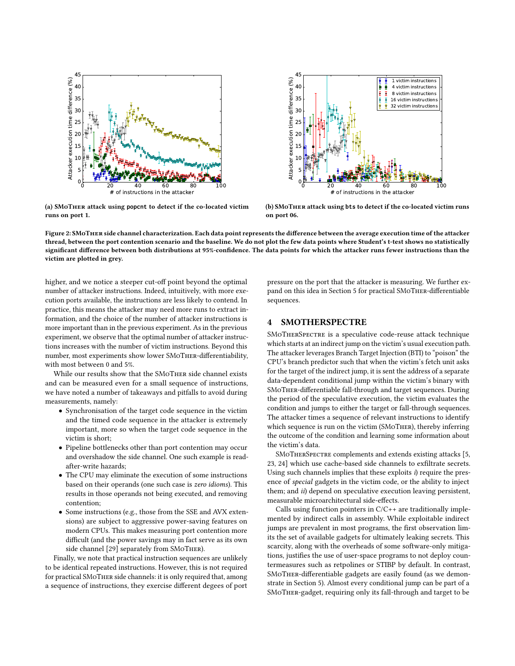<span id="page-4-0"></span>

(a) SMoTher attack using **popcnt** to detect if the co-located victim runs on port 1.



(b) SMoTher attack using **bts** to detect if the co-located victim runs on port 06.

Figure 2: SMoTher side channel characterization. Each data point represents the difference between the average execution time of the attacker thread, between the port contention scenario and the baseline. We do not plot the few data points where Student's t-test shows no statistically significant difference between both distributions at 95%-confidence. The data points for which the attacker runs fewer instructions than the victim are plotted in grey.

higher, and we notice a steeper cut-off point beyond the optimal number of attacker instructions. Indeed, intuitively, with more execution ports available, the instructions are less likely to contend. In practice, this means the attacker may need more runs to extract information, and the choice of the number of attacker instructions is more important than in the previous experiment. As in the previous experiment, we observe that the optimal number of attacker instructions increases with the number of victim instructions. Beyond this number, most experiments show lower SMoTher-differentiability, with most between 0 and 5%.

While our results show that the SMoTher side channel exists and can be measured even for a small sequence of instructions, we have noted a number of takeaways and pitfalls to avoid during measurements, namely:

- Synchronisation of the target code sequence in the victim and the timed code sequence in the attacker is extremely important, more so when the target code sequence in the victim is short;
- Pipeline bottlenecks other than port contention may occur and overshadow the side channel. One such example is readafter-write hazards;
- The CPU may eliminate the execution of some instructions based on their operands (one such case is zero idioms). This results in those operands not being executed, and removing contention;
- Some instructions (e.g., those from the SSE and AVX extensions) are subject to aggressive power-saving features on modern CPUs. This makes measuring port contention more difficult (and the power savings may in fact serve as its own side channel [\[29\]](#page-13-2) separately from SMoTher).

Finally, we note that practical instruction sequences are unlikely to be identical repeated instructions. However, this is not required for practical SMoTher side channels: it is only required that, among a sequence of instructions, they exercise different degees of port

pressure on the port that the attacker is measuring. We further expand on this idea in [Section 5](#page-7-0) for practical SMoTher-differentiable sequences.

## 4 SMOTHERSPECTRE

SMoTherSpectre is a speculative code-reuse attack technique which starts at an indirect jump on the victim's usual execution path. The attacker leverages Branch Target Injection (BTI) to "poison" the CPU's branch predictor such that when the victim's fetch unit asks for the target of the indirect jump, it is sent the address of a separate data-dependent conditional jump within the victim's binary with SMoTher-differentiable fall-through and target sequences. During the period of the speculative execution, the victim evaluates the condition and jumps to either the target or fall-through sequences. The attacker times a sequence of relevant instructions to identify which sequence is run on the victim (SMoTher), thereby inferring the outcome of the condition and learning some information about the victim's data.

SMoTherSpectre complements and extends existing attacks [\[5,](#page-13-4) [23,](#page-13-0) [24\]](#page-13-1) which use cache-based side channels to exfiltrate secrets. Using such channels implies that these exploits i) require the presence of special gadgets in the victim code, or the ability to inject them; and *ii*) depend on speculative execution leaving persistent, measurable microarchitectural side-effects.

Calls using function pointers in C/C++ are traditionally implemented by indirect calls in assembly. While exploitable indirect jumps are prevalent in most programs, the first observation limits the set of available gadgets for ultimately leaking secrets. This scarcity, along with the overheads of some software-only mitigations, justifies the use of user-space programs to not deploy countermeasures such as retpolines or STIBP by default. In contrast, SMoTher-differentiable gadgets are easily found (as we demonstrate in [Section 5\)](#page-7-0). Almost every conditional jump can be part of a SMoTher-gadget, requiring only its fall-through and target to be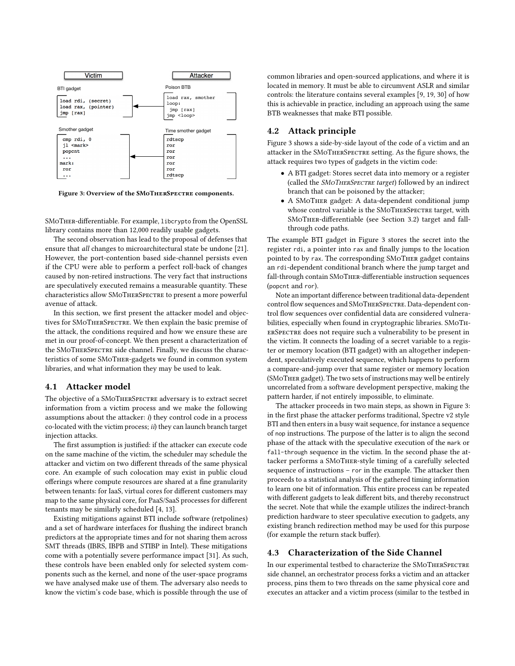<span id="page-5-0"></span>

Figure 3: Overview of the SMoTherSpectre components.

SMoTher-differentiable. For example, libcrypto from the OpenSSL library contains more than 12,000 readily usable gadgets.

The second observation has lead to the proposal of defenses that ensure that all changes to microarchitectural state be undone [\[21\]](#page-13-7). However, the port-contention based side-channel persists even if the CPU were able to perform a perfect roll-back of changes caused by non-retired instructions. The very fact that instructions are speculatively executed remains a measurable quantity. These characteristics allow SMoTherSpectre to present a more powerful avenue of attack.

In this section, we first present the attacker model and objectives for SMoTherSpectre. We then explain the basic premise of the attack, the conditions required and how we ensure these are met in our proof-of-concept. We then present a characterization of the SMoTherSpectre side channel. Finally, we discuss the characteristics of some SMoTher-gadgets we found in common system libraries, and what information they may be used to leak.

#### 4.1 Attacker model

The objective of a SMoTherSpectre adversary is to extract secret information from a victim process and we make the following assumptions about the attacker:  $i$ ) they control code in a process co-located with the victim process; ii) they can launch branch target injection attacks.

The first assumption is justified: if the attacker can execute code on the same machine of the victim, the scheduler may schedule the attacker and victim on two different threads of the same physical core. An example of such colocation may exist in public cloud offerings where compute resources are shared at a fine granularity between tenants: for IaaS, virtual cores for different customers may map to the same physical core, for PaaS/SaaS processes for different tenants may be similarly scheduled [\[4,](#page-13-15) [13\]](#page-13-16).

Existing mitigations against BTI include software (retpolines) and a set of hardware interfaces for flushing the indirect branch predictors at the appropriate times and for not sharing them across SMT threads (IBRS, IBPB and STIBP in Intel). These mitigations come with a potentially severe performance impact [\[31\]](#page-13-17). As such, these controls have been enabled only for selected system components such as the kernel, and none of the user-space programs we have analysed make use of them. The adversary also needs to know the victim's code base, which is possible through the use of common libraries and open-sourced applications, and where it is located in memory. It must be able to circumvent ASLR and similar controls: the literature contains several examples [\[9,](#page-13-18) [19,](#page-13-19) [30\]](#page-13-20) of how this is achievable in practice, including an approach using the same BTB weaknesses that make BTI possible.

## <span id="page-5-1"></span>4.2 Attack principle

[Figure 3](#page-5-0) shows a side-by-side layout of the code of a victim and an attacker in the SMoTherSpectre setting. As the figure shows, the attack requires two types of gadgets in the victim code:

- A BTI gadget: Stores secret data into memory or a register (called the SMOTHERSPECTRE target) followed by an indirect branch that can be poisoned by the attacker;
- A SMoTher gadget: A data-dependent conditional jump whose control variable is the SMoTHERSPECTRE target, with SMoTher-differentiable (see [Section 3.2\)](#page-3-1) target and fallthrough code paths.

The example BTI gadget in [Figure 3](#page-5-0) stores the secret into the register rdi, a pointer into rax and finally jumps to the location pointed to by rax. The corresponding SMoTher gadget contains an rdi-dependent conditional branch where the jump target and fall-through contain SMoTher-differentiable instruction sequences (popcnt and ror).

Note an important difference between traditional data-dependent control flow sequences and SMoTherSpectre. Data-dependent control flow sequences over confidential data are considered vulnerabilities, especially when found in cryptographic libraries. SMoTherSpectre does not require such a vulnerability to be present in the victim. It connects the loading of a secret variable to a register or memory location (BTI gadget) with an altogether independent, speculatively executed sequence, which happens to perform a compare-and-jump over that same register or memory location (SMoTher gadget). The two sets of instructions may well be entirely uncorrelated from a software development perspective, making the pattern harder, if not entirely impossible, to eliminate.

The attacker proceeds in two main steps, as shown in [Figure 3:](#page-5-0) in the first phase the attacker performs traditional, Spectre v2 style BTI and then enters in a busy wait sequence, for instance a sequence of nop instructions. The purpose of the latter is to align the second phase of the attack with the speculative execution of the mark or fall-through sequence in the victim. In the second phase the attacker performs a SMoTher-style timing of a carefully selected sequence of instructions – ror in the example. The attacker then proceeds to a statistical analysis of the gathered timing information to learn one bit of information. This entire process can be repeated with different gadgets to leak different bits, and thereby reconstruct the secret. Note that while the example utilizes the indirect-branch prediction hardware to steer speculative execution to gadgets, any existing branch redirection method may be used for this purpose (for example the return stack buffer).

## <span id="page-5-2"></span>4.3 Characterization of the Side Channel

In our experimental testbed to characterize the SMoTherSpectre side channel, an orchestrator process forks a victim and an attacker process, pins them to two threads on the same physical core and executes an attacker and a victim process (similar to the testbed in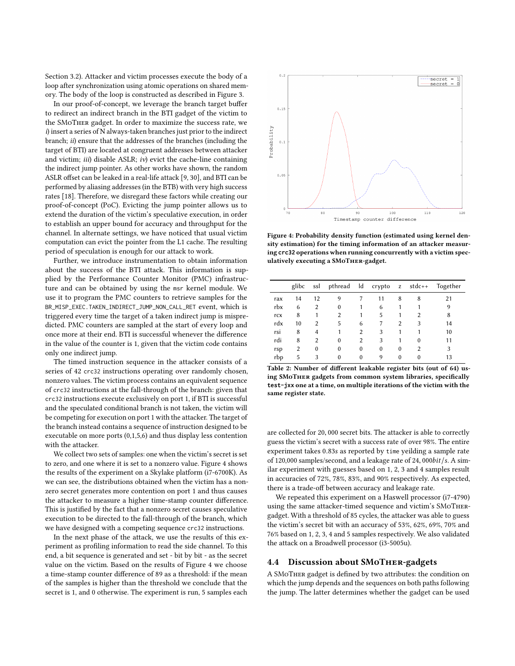[Section 3.2\)](#page-3-1). Attacker and victim processes execute the body of a loop after synchronization using atomic operations on shared memory. The body of the loop is constructed as described in [Figure 3.](#page-5-0)

In our proof-of-concept, we leverage the branch target buffer to redirect an indirect branch in the BTI gadget of the victim to the SMoTher gadget. In order to maximize the success rate, we i) insert a series of N always-taken branches just prior to the indirect branch; ii) ensure that the addresses of the branches (including the target of BTI) are located at congruent addresses between attacker and victim; iii) disable ASLR; iv) evict the cache-line containing the indirect jump pointer. As other works have shown, the random ASLR offset can be leaked in a real-life attack [\[9,](#page-13-18) [30\]](#page-13-20), and BTI can be performed by aliasing addresses (in the BTB) with very high success rates [\[18\]](#page-13-13). Therefore, we disregard these factors while creating our proof-of-concept (PoC). Evicting the jump pointer allows us to extend the duration of the victim's speculative execution, in order to establish an upper bound for accuracy and throughput for the channel. In alternate settings, we have noticed that usual victim computation can evict the pointer from the L1 cache. The resulting period of speculation is enough for our attack to work.

Further, we introduce instrumentation to obtain information about the success of the BTI attack. This information is supplied by the Performance Counter Monitor (PMC) infrastructure and can be obtained by using the msr kernel module. We use it to program the PMC counters to retrieve samples for the BR\_MISP\_EXEC.TAKEN\_INDIRECT\_JUMP\_NON\_CALL\_RET event, which is triggered every time the target of a taken indirect jump is mispredicted. PMC counters are sampled at the start of every loop and once more at their end. BTI is successful whenever the difference in the value of the counter is 1, given that the victim code contains only one indirect jump.

The timed instruction sequence in the attacker consists of a series of 42 crc32 instructions operating over randomly chosen, nonzero values. The victim process contains an equivalent sequence of crc32 instructions at the fall-through of the branch: given that crc32 instructions execute exclusively on port 1, if BTI is successful and the speculated conditional branch is not taken, the victim will be competing for execution on port 1 with the attacker. The target of the branch instead contains a sequence of instruction designed to be executable on more ports (0,1,5,6) and thus display less contention with the attacker.

We collect two sets of samples: one when the victim's secret is set to zero, and one where it is set to a nonzero value. [Figure 4](#page-6-0) shows the results of the experiment on a Skylake platform (i7-6700K). As we can see, the distributions obtained when the victim has a nonzero secret generates more contention on port 1 and thus causes the attacker to measure a higher time-stamp counter difference. This is justified by the fact that a nonzero secret causes speculative execution to be directed to the fall-through of the branch, which we have designed with a competing sequence crc32 instructions.

In the next phase of the attack, we use the results of this experiment as profiling information to read the side channel. To this end, a bit sequence is generated and set - bit by bit - as the secret value on the victim. Based on the results of [Figure 4](#page-6-0) we choose a time-stamp counter difference of 89 as a threshold: if the mean of the samples is higher than the threshold we conclude that the secret is 1, and 0 otherwise. The experiment is run, 5 samples each

<span id="page-6-0"></span>

Figure 4: Probability density function (estimated using kernel density estimation) for the timing information of an attacker measuring **crc32** operations when running concurrently with a victim speculatively executing a SMoTher-gadget.

<span id="page-6-1"></span>

|     | glibc | ssl      | pthread  | $\overline{\mathsf{Id}}$ | crypto z stdc++ |          |        | Together |
|-----|-------|----------|----------|--------------------------|-----------------|----------|--------|----------|
| rax | 14    | 12       | 9        |                          | 11              | 8        | 8      | 21       |
| rbx | 6     | 2        | 0        |                          | 6               |          |        | 9        |
| rcx | 8     |          | 2        |                          | 5               | 1        | 2      | 8        |
| rdx | 10    | 2        | 5        | 6                        |                 | 2        | 3      | 14       |
| rsi | 8     | 4        |          | 2                        | 3               | 1        |        | 10       |
| rdi | 8     | 2        | 0        | 2                        | 3               | 1        | $^{0}$ | 11       |
| rsp | 2     | $\theta$ | 0        | $\theta$                 | 0               | $\theta$ | 2      | 3        |
| rbp | 5     | 3        | $\bf{0}$ | $\theta$                 | 9               | 0        | 0      | 13       |

Table 2: Number of different leakable register bits (out of 64) using SMoTher gadgets from common system libraries, specifically **test-jxx** one at a time, on multiple iterations of the victim with the same register state.

are collected for <sup>20</sup>, <sup>000</sup> secret bits. The attacker is able to correctly guess the victim's secret with a success rate of over 98%. The entire experiment takes <sup>0</sup>.83<sup>s</sup> as reported by time yeilding a sample rate of 120,000 samples/second, and a leakage rate of <sup>24</sup>, <sup>000</sup>bit/s. A similar experiment with guesses based on 1, 2, 3 and 4 samples result in accuracies of 72%, 78%, 83%, and 90% respectively. As expected, there is a trade-off between accuracy and leakage rate.

We repeated this experiment on a Haswell processor (i7-4790) using the same attacker-timed sequence and victim's SMoThergadget. With a threshold of 85 cycles, the attacker was able to guess the victim's secret bit with an accuracy of 53%, 62%, 69%, 70% and 76% based on 1, 2, 3, 4 and 5 samples respectively. We also validated the attack on a Broadwell processor (i3-5005u).

## 4.4 Discussion about SMoTher-gadgets

A SMoTher gadget is defined by two attributes: the condition on which the jump depends and the sequences on both paths following the jump. The latter determines whether the gadget can be used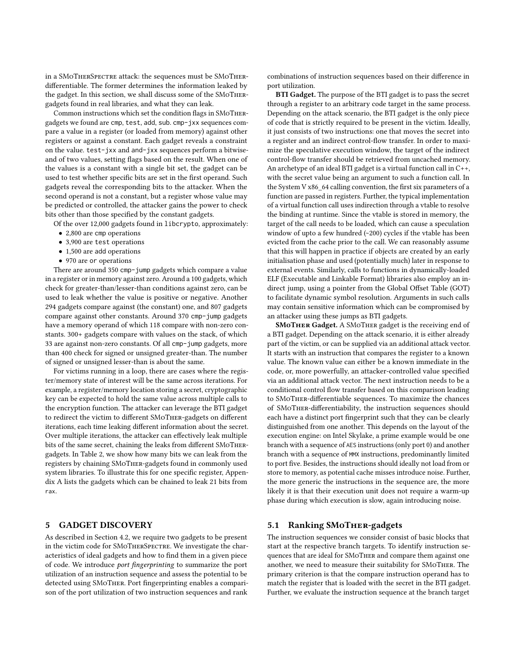in a SMoTherSpectre attack: the sequences must be SMoTherdifferentiable. The former determines the information leaked by the gadget. In this section, we shall discuss some of the SMoThergadgets found in real libraries, and what they can leak.

Common instructions which set the condition flags in SMoThergadgets we found are cmp, test, add, sub. cmp-jxx sequences compare a value in a register (or loaded from memory) against other registers or against a constant. Each gadget reveals a constraint on the value. test-jxx and and-jxx sequences perform a bitwiseand of two values, setting flags based on the result. When one of the values is a constant with a single bit set, the gadget can be used to test whether specific bits are set in the first operand. Such gadgets reveal the corresponding bits to the attacker. When the second operand is not a constant, but a register whose value may be predicted or controlled, the attacker gains the power to check bits other than those specified by the constant gadgets.

Of the over 12,000 gadgets found in libcrypto, approximately:

- 2,800 are cmp operations
- 3,900 are test operations
- 1,500 are add operations
- 970 are or operations

There are around 350 cmp-jump gadgets which compare a value in a register or in memory against zero. Around a 100 gadgets, which check for greater-than/lesser-than conditions against zero, can be used to leak whether the value is positive or negative. Another 294 gadgets compare against (the constant) one, and 807 gadgets compare against other constants. Around 370 cmp-jump gadgets have a memory operand of which 118 compare with non-zero constants. 300+ gadgets compare with values on the stack, of which 33 are against non-zero constants. Of all cmp-jump gadgets, more than 400 check for signed or unsigned greater-than. The number of signed or unsigned lesser-than is about the same.

For victims running in a loop, there are cases where the register/memory state of interest will be the same across iterations. For example, a register/memory location storing a secret, cryptographic key can be expected to hold the same value across multiple calls to the encryption function. The attacker can leverage the BTI gadget to redirect the victim to different SMoTher-gadgets on different iterations, each time leaking different information about the secret. Over multiple iterations, the attacker can effectively leak multiple bits of the same secret, chaining the leaks from different SMoThergadgets. In [Table 2,](#page-6-1) we show how many bits we can leak from the registers by chaining SMoTher-gadgets found in commonly used system libraries. To illustrate this for one specific register, [Appen](#page-13-21)[dix A](#page-13-21) lists the gadgets which can be chained to leak 21 bits from rax.

## <span id="page-7-0"></span>5 GADGET DISCOVERY

As described in [Section 4.2,](#page-5-1) we require two gadgets to be present in the victim code for SMoTherSpectre. We investigate the characteristics of ideal gadgets and how to find them in a given piece of code. We introduce port fingerprinting to summarize the port utilization of an instruction sequence and assess the potential to be detected using SMoTher. Port fingerprinting enables a comparison of the port utilization of two instruction sequences and rank

combinations of instruction sequences based on their difference in port utilization.

BTI Gadget. The purpose of the BTI gadget is to pass the secret through a register to an arbitrary code target in the same process. Depending on the attack scenario, the BTI gadget is the only piece of code that is strictly required to be present in the victim. Ideally, it just consists of two instructions: one that moves the secret into a register and an indirect control-flow transfer. In order to maximize the speculative execution window, the target of the indirect control-flow transfer should be retrieved from uncached memory. An archetype of an ideal BTI gadget is a virtual function call in C++, with the secret value being an argument to such a function call. In the System V x86\_64 calling convention, the first six parameters of a function are passed in registers. Further, the typical implementation of a virtual function call uses indirection through a vtable to resolve the binding at runtime. Since the vtable is stored in memory, the target of the call needs to be loaded, which can cause a speculation window of upto a few hundred (~200) cycles if the vtable has been evicted from the cache prior to the call. We can reasonably assume that this will happen in practice if objects are created by an early initialisation phase and used (potentially much) later in response to external events. Similarly, calls to functions in dynamically-loaded ELF (Executable and Linkable Format) libraries also employ an indirect jump, using a pointer from the Global Offset Table (GOT) to facilitate dynamic symbol resolution. Arguments in such calls may contain sensitive information which can be compromised by an attacker using these jumps as BTI gadgets.

SMoTher Gadget. A SMoTher gadget is the receiving end of a BTI gadget. Depending on the attack scenario, it is either already part of the victim, or can be supplied via an additional attack vector. It starts with an instruction that compares the register to a known value. The known value can either be a known immediate in the code, or, more powerfully, an attacker-controlled value specified via an additional attack vector. The next instruction needs to be a conditional control flow transfer based on this comparison leading to SMoTher-differentiable sequences. To maximize the chances of SMoTher-differentiability, the instruction sequences should each have a distinct port fingerprint such that they can be clearly distinguished from one another. This depends on the layout of the execution engine: on Intel Skylake, a prime example would be one branch with a sequence of AES instructions (only port 0) and another branch with a sequence of MMX instructions, predominantly limited to port five. Besides, the instructions should ideally not load from or store to memory, as potential cache misses introduce noise. Further, the more generic the instructions in the sequence are, the more likely it is that their execution unit does not require a warm-up phase during which execution is slow, again introducing noise.

## 5.1 Ranking SMoTher-gadgets

The instruction sequences we consider consist of basic blocks that start at the respective branch targets. To identify instruction sequences that are ideal for SMoTher and compare them against one another, we need to measure their suitability for SMoTher. The primary criterion is that the compare instruction operand has to match the register that is loaded with the secret in the BTI gadget. Further, we evaluate the instruction sequence at the branch target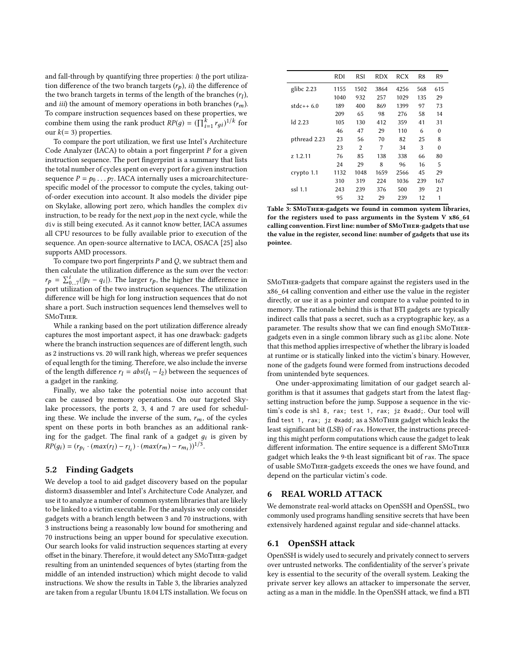and fall-through by quantifying three properties:  $i$ ) the port utilization difference of the two branch targets  $(r_p)$ , *ii*) the difference of the two branch targets in terms of the length of the branches  $(r_l)$ ,<br>and *iii*) the amount of memory operations in both branches  $(r, \cdot)$ and *iii*) the amount of memory operations in both branches  $(r_m)$ . To compare instruction sequences based on these properties, we combine them using the rank product  $RP(g) = (\prod_{i=1}^{k} r_{gi})^{1/k}$  for our  $k (= 3)$  properties. our  $k(= 3)$  properties.

To compare the port utilization, we first use Intel's Architecture Code Analyzer (IACA) to obtain a port fingerprint  $P$  for a given instruction sequence. The port fingerprint is a summary that lists the total number of cycles spent on every port for a given instruction sequence  $P = p_0 \dots p_7$ . IACA internally uses a microarchitecturespecific model of the processor to compute the cycles, taking outof-order execution into account. It also models the divider pipe on Skylake, allowing port zero, which handles the complex div instruction, to be ready for the next  $\mu$ op in the next cycle, while the div is still being executed. As it cannot know better, IACA assumes all CPU resources to be fully available prior to execution of the sequence. An open-source alternative to IACA, OSACA [\[25\]](#page-13-22) also supports AMD processors.

To compare two port fingerprints  $P$  and  $Q$ , we subtract them and then calculate the utilization difference as the sum over the vector:  $r_p = \sum_{i=1}^{i} (|p_i - q_i|)$ . The larger  $r_p$ , the higher the difference in  $p_p - \sum_{0..7} (p_i - q_i)$ . The larger  $p_p$ , the higher the unterefrice in<br>port utilization of the two instruction sequences. The utilization difference will be high for long instruction sequences that do not share a port. Such instruction sequences lend themselves well to SMoTher.

While a ranking based on the port utilization difference already captures the most important aspect, it has one drawback: gadgets where the branch instruction sequences are of different length, such as 2 instructions vs. 20 will rank high, whereas we prefer sequences of equal length for the timing. Therefore, we also include the inverse of the length difference  $r_1 = abs(l_1 - l_2)$  between the sequences of a gadget in the ranking.

Finally, we also take the potential noise into account that can be caused by memory operations. On our targeted Skylake processors, the ports 2, 3, 4 and 7 are used for scheduling these. We include the inverse of the sum,  $r_m$ , of the cycles spent on these ports in both branches as an additional ranking for the gadget. The final rank of a gadget  $g_i$  is given by  $RP(g_i) = (r_{p_i} \cdot (max(r_l) - r_{l_i}) \cdot (max(r_m) - r_{m_i}))^{1/3}.$ 

## 5.2 Finding Gadgets

We develop a tool to aid gadget discovery based on the popular distorm3 disassembler and Intel's Architecture Code Analyzer, and use it to analyze a number of common system libraries that are likely to be linked to a victim executable. For the analysis we only consider gadgets with a branch length between 3 and 70 instructions, with 3 instructions being a reasonably low bound for smothering and 70 instructions being an upper bound for speculative execution. Our search looks for valid instruction sequences starting at every offset in the binary. Therefore, it would detect any SMoTher-gadget resulting from an unintended sequences of bytes (starting from the middle of an intended instruction) which might decode to valid instructions. We show the results in [Table 3,](#page-8-0) the libraries analyzed are taken from a regular Ubuntu 18.04 LTS installation. We focus on

<span id="page-8-0"></span>

|              | RDI  | RSI  | RDX  | RCX  | R8  | R9       |
|--------------|------|------|------|------|-----|----------|
| glibc $2.23$ | 1155 | 1502 | 3864 | 4256 | 568 | 615      |
|              | 1040 | 932  | 257  | 1029 | 135 | 29       |
| $state++6.0$ | 189  | 400  | 869  | 1399 | 97  | 73       |
|              | 209  | 65   | 98   | 276  | 58  | 14       |
| $Id$ 2.23    | 105  | 130  | 412  | 359  | 41  | 31       |
|              | 46   | 47   | 29   | 110  | 6   | $\Omega$ |
| pthread 2.23 | 23   | 56   | 70   | 82   | 25  | 8        |
|              | 23   | 2    | 7    | 34   | 3   | $\theta$ |
| z 1.2.11     | 76   | 85   | 138  | 338  | 66  | 80       |
|              | 24   | 29   | 8    | 96   | 16  | 5        |
| crypto 1.1   | 1132 | 1048 | 1659 | 2566 | 45  | 29       |
|              | 310  | 319  | 224  | 1036 | 239 | 167      |
| ssl 1.1      | 243  | 239  | 376  | 500  | 39  | 21       |
|              | 95   | 32   | 29   | 239  | 12  | 1        |

Table 3: SMoTher-gadgets we found in common system libraries, for the registers used to pass arguments in the System V x86\_64 calling convention. First line: number of SMoTher-gadgets that use the value in the register, second line: number of gadgets that use its pointee.

SMoTher-gadgets that compare against the registers used in the x86\_64 calling convention and either use the value in the register directly, or use it as a pointer and compare to a value pointed to in memory. The rationale behind this is that BTI gadgets are typically indirect calls that pass a secret, such as a cryptographic key, as a parameter. The results show that we can find enough SMoThergadgets even in a single common library such as glibc alone. Note that this method applies irrespective of whether the library is loaded at runtime or is statically linked into the victim's binary. However, none of the gadgets found were formed from instructions decoded from unintended byte sequences.

One under-approximating limitation of our gadget search algorithm is that it assumes that gadgets start from the latest flagsetting instruction before the jump. Suppose a sequence in the victim's code is shl 8, rax; test 1, rax; jz 0xadd;. Our tool will find test 1, rax; jz 0xadd; as a SMoTher gadget which leaks the least significant bit (LSB) of rax. However, the instructions preceding this might perform computations which cause the gadget to leak different information. The entire sequence is a different SMoTher gadget which leaks the 9-th least significant bit of rax. The space of usable SMoTher-gadgets exceeds the ones we have found, and depend on the particular victim's code.

## 6 REAL WORLD ATTACK

We demonstrate real-world attacks on OpenSSH and OpenSSL, two commonly used programs handling sensitive secrets that have been extensively hardened against regular and side-channel attacks.

#### <span id="page-8-1"></span>6.1 OpenSSH attack

OpenSSH is widely used to securely and privately connect to servers over untrusted networks. The confidentiality of the server's private key is essential to the security of the overall system. Leaking the private server key allows an attacker to impersonate the server, acting as a man in the middle. In the OpenSSH attack, we find a BTI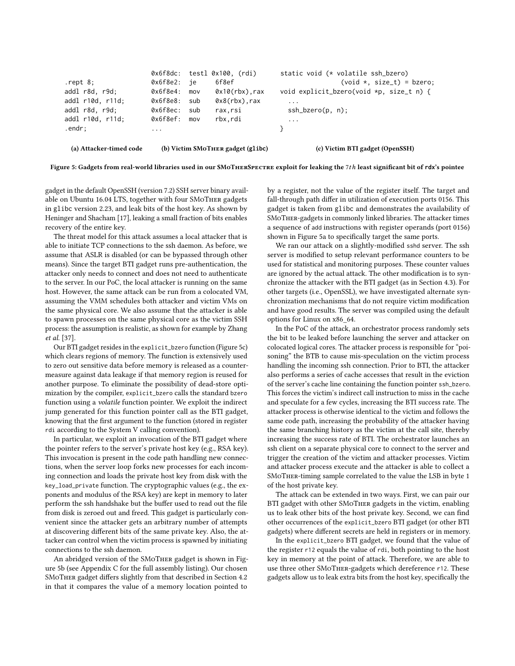<span id="page-9-0"></span>

|                         |          |     | $0x6f8dc$ : testl $0x100$ , $(rdi)$ | static void (* volatile ssh_bzero)       |
|-------------------------|----------|-----|-------------------------------------|------------------------------------------|
| $.$ rept $8$ ;          | 0x6f8e2: | ie  | 6f8ef                               | $(void *, size_t) = bzero;$              |
| addl r8d, r9d;          | 0x6f8e4: | mov | $0x10(rbx)$ , rax                   | void explicit_bzero(void *p, size_t n) { |
| addl r10d, r11d;        | 0x6f8e8: | sub | $0x8(rbx)$ , rax                    | $\cdot$ $\cdot$ $\cdot$                  |
| addl r8d, r9d;          | 0x6f8ec: | sub | rax.rsi                             | $\operatorname{ssh\_bzero}(p, n)$ ;      |
| addl r10d, r11d;        | 0x6f8ef: | mov | rbx.rdi                             | $\ddots$                                 |
| .endr;                  | $\cdots$ |     |                                     |                                          |
| (a) Attacker-timed code |          |     | (b) Victim SMoTHER gadget (glibc)   | (c) Victim BTI gadget (OpenSSH)          |

Figure 5: Gadgets from real-world libraries used in our SMoTherSpectre exploit for leaking the <sup>7</sup>th least significant bit of **rdx**'s pointee

gadget in the default OpenSSH (version 7.2) SSH server binary available on Ubuntu 16.04 LTS, together with four SMoTher gadgets in glibc version 2.23, and leak bits of the host key. As shown by Heninger and Shacham [\[17\]](#page-13-23), leaking a small fraction of bits enables recovery of the entire key.

The threat model for this attack assumes a local attacker that is able to initiate TCP connections to the ssh daemon. As before, we assume that ASLR is disabled (or can be bypassed through other means). Since the target BTI gadget runs pre-authentication, the attacker only needs to connect and does not need to authenticate to the server. In our PoC, the local attacker is running on the same host. However, the same attack can be run from a colocated VM, assuming the VMM schedules both attacker and victim VMs on the same physical core. We also assume that the attacker is able to spawn processes on the same physical core as the victim SSH process: the assumption is realistic, as shown for example by Zhang et al. [\[37\]](#page-13-24).

Our BTI gadget resides in the explicit\_bzero function [\(Figure 5c\)](#page-9-0) which clears regions of memory. The function is extensively used to zero out sensitive data before memory is released as a countermeasure against data leakage if that memory region is reused for another purpose. To eliminate the possibility of dead-store optimization by the compiler, explicit\_bzero calls the standard bzero function using a volatile function pointer. We exploit the indirect jump generated for this function pointer call as the BTI gadget, knowing that the first argument to the function (stored in register rdi according to the System V calling convention).

In particular, we exploit an invocation of the BTI gadget where the pointer refers to the server's private host key (e.g., RSA key). This invocation is present in the code path handling new connections, when the server loop forks new processes for each incoming connection and loads the private host key from disk with the key\_load\_private function. The cryptographic values (e.g., the exponents and modulus of the RSA key) are kept in memory to later perform the ssh handshake but the buffer used to read out the file from disk is zeroed out and freed. This gadget is particularly convenient since the attacker gets an arbitrary number of attempts at discovering different bits of the same private key. Also, the attacker can control when the victim process is spawned by initiating connections to the ssh daemon.

An abridged version of the SMoTher gadget is shown in [Fig](#page-9-0)[ure 5b](#page-9-0) (see [Appendix C](#page-14-0) for the full assembly listing). Our chosen SMoTher gadget differs slightly from that described in [Section 4.2](#page-5-1) in that it compares the value of a memory location pointed to

by a register, not the value of the register itself. The target and fall-through path differ in utilization of execution ports 0156. This gadget is taken from glibc and demonstrates the availability of SMoTher-gadgets in commonly linked libraries. The attacker times a sequence of add instructions with register operands (port 0156) shown in [Figure 5a](#page-9-0) to specifically target the same ports.

We ran our attack on a slightly-modified sshd server. The ssh server is modified to setup relevant performance counters to be used for statistical and monitoring purposes. These counter values are ignored by the actual attack. The other modification is to synchronize the attacker with the BTI gadget (as in [Section 4.3\)](#page-5-2). For other targets (i.e., OpenSSL), we have investigated alternate synchronization mechanisms that do not require victim modification and have good results. The server was compiled using the default options for Linux on x86\_64.

In the PoC of the attack, an orchestrator process randomly sets the bit to be leaked before launching the server and attacker on colocated logical cores. The attacker process is responsible for "poisoning" the BTB to cause mis-speculation on the victim process handling the incoming ssh connection. Prior to BTI, the attacker also performs a series of cache accesses that result in the eviction of the server's cache line containing the function pointer ssh\_bzero. This forces the victim's indirect call instruction to miss in the cache and speculate for a few cycles, increasing the BTI success rate. The attacker process is otherwise identical to the victim and follows the same code path, increasing the probability of the attacker having the same branching history as the victim at the call site, thereby increasing the success rate of BTI. The orchestrator launches an ssh client on a separate physical core to connect to the server and trigger the creation of the victim and attacker processes. Victim and attacker process execute and the attacker is able to collect a SMoTher-timing sample correlated to the value the LSB in byte 1 of the host private key.

The attack can be extended in two ways. First, we can pair our BTI gadget with other SMoTher gadgets in the victim, enabling us to leak other bits of the host private key. Second, we can find other occurrences of the explicit\_bzero BTI gadget (or other BTI gadgets) where different secrets are held in registers or in memory.

In the explicit\_bzero BTI gadget, we found that the value of the register r12 equals the value of rdi, both pointing to the host key in memory at the point of attack. Therefore, we are able to use three other SMoTher-gadgets which dereference r12. These gadgets allow us to leak extra bits from the host key, specifically the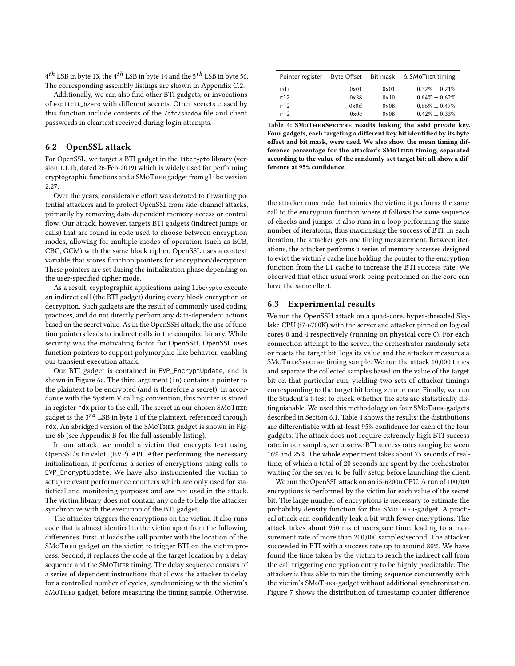$4<sup>th</sup>$  LSB in byte 13, the  $4<sup>th</sup>$  LSB in byte 14 and the  $5<sup>th</sup>$  LSB in byte 56. The corresponding assembly listings are shown in [Appendix C.2.](#page-14-1)

Additionally, we can also find other BTI gadgets, or invocations of explicit\_bzero with different secrets. Other secrets erased by this function include contents of the /etc/shadow file and client passwords in cleartext received during login attempts.

## 6.2 OpenSSL attack

For OpenSSL, we target a BTI gadget in the libcrypto library (version 1.1.1b, dated 26-Feb-2019) which is widely used for performing cryptographic functions and a SMoTher gadget from glibc version 2.27.

Over the years, considerable effort was devoted to thwarting potential attackers and to protect OpenSSL from side-channel attacks, primarily by removing data-dependent memory-access or control flow. Our attack, however, targets BTI gadgets (indirect jumps or calls) that are found in code used to choose between encryption modes, allowing for multiple modes of operation (such as ECB, CBC, GCM) with the same block cipher. OpenSSL uses a context variable that stores function pointers for encryption/decryption. These pointers are set during the initialization phase depending on the user-specified cipher mode.

As a result, cryptographic applications using libcrypto execute an indirect call (the BTI gadget) during every block encryption or decryption. Such gadgets are the result of commonly used coding practices, and do not directly perform any data-dependent actions based on the secret value. As in the OpenSSH attack, the use of function pointers leads to indirect calls in the compiled binary. While security was the motivating factor for OpenSSH, OpenSSL uses function pointers to support polymorphic-like behavior, enabling our transient execution attack.

Our BTI gadget is contained in EVP\_EncryptUpdate, and is shown in [Figure 6c.](#page-11-1) The third argument (in) contains a pointer to the plaintext to be encrypted (and is therefore a secret). In accordance with the System V calling convention, this pointer is stored in register rdx prior to the call. The secret in our chosen SMoTher gadget is the  $3^{rd}$  LSB in byte 1 of the plaintext, referenced through rdx. An abridged version of the SMoTher gadget is shown in [Fig](#page-11-1)[ure 6b](#page-11-1) (see [Appendix B](#page-14-2) for the full assembly listing).

In our attack, we model a victim that encrypts text using OpenSSL's EnVeloP (EVP) API. After performing the necessary initializations, it performs a series of encryptions using calls to EVP\_EncryptUpdate. We have also instrumented the victim to setup relevant performance counters which are only used for statistical and monitoring purposes and are not used in the attack. The victim library does not contain any code to help the attacker synchronize with the execution of the BTI gadget.

The attacker triggers the encryptions on the victim. It also runs code that is almost identical to the victim apart from the following differences. First, it loads the call pointer with the location of the SMoTher gadget on the victim to trigger BTI on the victim process. Second, it replaces the code at the target location by a delay sequence and the SMoTher timing. The delay sequence consists of a series of dependent instructions that allows the attacker to delay for a controlled number of cycles, synchronizing with the victim's SMoTher gadget, before measuring the timing sample. Otherwise,

<span id="page-10-0"></span>

| Pointer register |      |      | Byte Offset Bit mask $\triangle$ SMoTHER timing |
|------------------|------|------|-------------------------------------------------|
| rdi              | 0x01 | 0x01 | $0.32\% \pm 0.21\%$                             |
| r12              | 0x38 | 0x10 | $0.64\% \pm 0.62\%$                             |
| r12              | 0x0d | 0x08 | $0.66\% \pm 0.47\%$                             |
| r12              | 0x0c | 0x08 | $0.42\% \pm 0.33\%$                             |

Table 4: SMoTherSpectre results leaking the **sshd** private key. Four gadgets, each targeting a different key bit identified by its byte offset and bit mask, were used. We also show the mean timing difference percentage for the attacker's SMoTher timing, separated according to the value of the randomly-set target bit: all show a difference at 95% confidence.

the attacker runs code that mimics the victim: it performs the same call to the encryption function where it follows the same sequence of checks and jumps. It also runs in a loop performing the same number of iterations, thus maximising the success of BTI. In each iteration, the attacker gets one timing measurement. Between iterations, the attacker performs a series of memory accesses designed to evict the victim's cache line holding the pointer to the encryption function from the L1 cache to increase the BTI success rate. We observed that other usual work being performed on the core can have the same effect.

## 6.3 Experimental results

We run the OpenSSH attack on a quad-core, hyper-threaded Skylake CPU (i7-6700K) with the server and attacker pinned on logical cores 0 and 4 respectively (running on physical core 0). For each connection attempt to the server, the orchestrator randomly sets or resets the target bit, logs its value and the attacker measures a SMoTherSpectre timing sample. We run the attack 10,000 times and separate the collected samples based on the value of the target bit on that particular run, yielding two sets of attacker timings corresponding to the target bit being zero or one. Finally, we run the Student's t-test to check whether the sets are statistically distinguishable. We used this methodology on four SMoTher-gadgets described in [Section 6.1.](#page-8-1) [Table 4](#page-10-0) shows the results: the distributions are differentiable with at-least 95% confidence for each of the four gadgets. The attack does not require extremely high BTI success rate: in our samples, we observe BTI success rates ranging between 16% and 25%. The whole experiment takes about 75 seconds of realtime, of which a total of 20 seconds are spent by the orchestrator waiting for the server to be fully setup before launching the client.

We run the OpenSSL attack on an i5-6200u CPU. A run of 100,000 encryptions is performed by the victim for each value of the secret bit. The large number of encryptions is necessary to estimate the probability density function for this SMoTher-gadget. A practical attack can confidently leak a bit with fewer encryptions. The attack takes about 950 ms of userspace time, leading to a measurement rate of more than 200,000 samples/second. The attacker succeeded in BTI with a success rate up to around 80%. We have found the time taken by the victim to reach the indirect call from the call triggering encryption entry to be highly predictable. The attacker is thus able to run the timing sequence concurrently with the victim's SMoTher-gadget without additional synchronization. [Figure 7](#page-11-2) shows the distribution of timestamp counter difference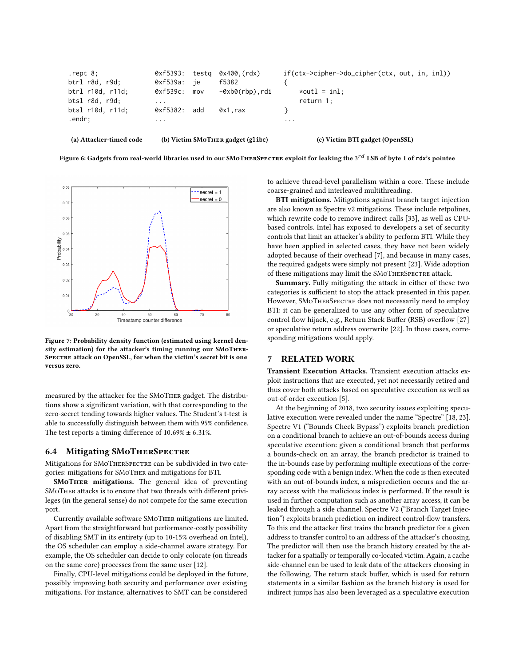<span id="page-11-1"></span>

|                                 | $\cdots$                                       |
|---------------------------------|------------------------------------------------|
| 0x1.rax                         |                                                |
|                                 | $return 1$ ;                                   |
| $-\theta$ xb $\theta$ (rbp),rdi | $*$ outl = inl;                                |
| f5382                           |                                                |
| 0xf5393: testg 0x400.(rdx)      | $if(ctx->cipher->do_cipher(ctx, out, in, in])$ |
|                                 |                                                |

Figure 6: Gadgets from real-world libraries used in our SMoTHERSPECTRE exploit for leaking the 3<sup>rd</sup> LSB of byte 1 of rdx's pointee

<span id="page-11-2"></span>

Figure 7: Probability density function (estimated using kernel density estimation) for the attacker's timing running our SMoTher-SPECTRE attack on OpenSSL, for when the victim's secret bit is one versus zero.

measured by the attacker for the SMoTher gadget. The distributions show a significant variation, with that corresponding to the zero-secret tending towards higher values. The Student's t-test is able to successfully distinguish between them with 95% confidence. The test reports a timing difference of  $10.69\% \pm 6.31\%$ .

## 6.4 Mitigating SMoTherSpectre

Mitigations for SMoTHERSPECTRE can be subdivided in two categories: mitigations for SMoTher and mitigations for BTI.

SMOTHER mitigations. The general idea of preventing SMoTher attacks is to ensure that two threads with different privileges (in the general sense) do not compete for the same execution port.

Currently available software SMoTher mitigations are limited. Apart from the straightforward but performance-costly possibility of disabling SMT in its entirety (up to 10-15% overhead on Intel), the OS scheduler can employ a side-channel aware strategy. For example, the OS scheduler can decide to only colocate (on threads on the same core) processes from the same user [\[12\]](#page-13-25).

Finally, CPU-level mitigations could be deployed in the future, possibly improving both security and performance over existing mitigations. For instance, alternatives to SMT can be considered

to achieve thread-level parallelism within a core. These include coarse-grained and interleaved multithreading.

BTI mitigations. Mitigations against branch target injection are also known as Spectre v2 mitigations. These include retpolines, which rewrite code to remove indirect calls [\[33\]](#page-13-6), as well as CPUbased controls. Intel has exposed to developers a set of security controls that limit an attacker's ability to perform BTI. While they have been applied in selected cases, they have not been widely adopted because of their overhead [\[7\]](#page-13-26), and because in many cases, the required gadgets were simply not present [\[23\]](#page-13-0). Wide adoption of these mitigations may limit the SMoTherSpectre attack.

Summary. Fully mitigating the attack in either of these two categories is sufficient to stop the attack presented in this paper. However, SMoTherSpectre does not necessarily need to employ BTI: it can be generalized to use any other form of speculative control flow hijack, e.g., Return Stack Buffer (RSB) overflow [\[27\]](#page-13-27) or speculative return address overwrite [\[22\]](#page-13-28). In those cases, corresponding mitigations would apply.

#### <span id="page-11-0"></span>7 RELATED WORK

Transient Execution Attacks. Transient execution attacks exploit instructions that are executed, yet not necessarily retired and thus cover both attacks based on speculative execution as well as out-of-order execution [\[5\]](#page-13-4).

At the beginning of 2018, two security issues exploiting speculative execution were revealed under the name "Spectre" [\[18,](#page-13-13) [23\]](#page-13-0). Spectre V1 ("Bounds Check Bypass") exploits branch prediction on a conditional branch to achieve an out-of-bounds access during speculative execution: given a conditional branch that performs a bounds-check on an array, the branch predictor is trained to the in-bounds case by performing multiple executions of the corresponding code with a benign index. When the code is then executed with an out-of-bounds index, a misprediction occurs and the array access with the malicious index is performed. If the result is used in further computation such as another array access, it can be leaked through a side channel. Spectre V2 ("Branch Target Injection") exploits branch prediction on indirect control-flow transfers. To this end the attacker first trains the branch predictor for a given address to transfer control to an address of the attacker's choosing. The predictor will then use the branch history created by the attacker for a spatially or temporally co-located victim. Again, a cache side-channel can be used to leak data of the attackers choosing in the following. The return stack buffer, which is used for return statements in a similar fashion as the branch history is used for indirect jumps has also been leveraged as a speculative execution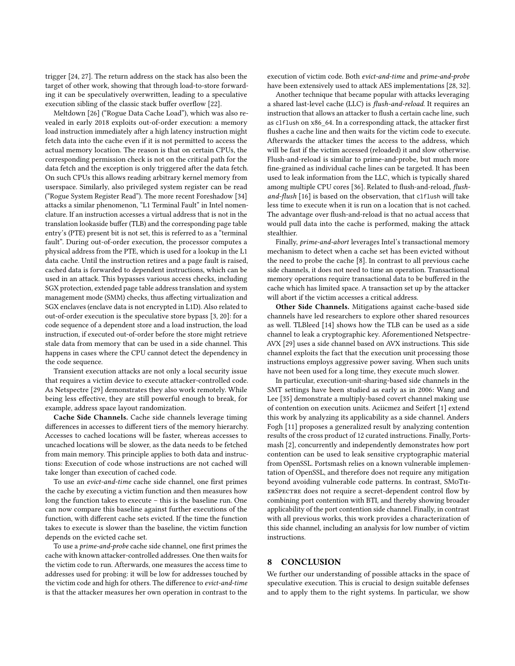trigger [\[24,](#page-13-1) [27\]](#page-13-27). The return address on the stack has also been the target of other work, showing that through load-to-store forwarding it can be speculatively overwritten, leading to a speculative execution sibling of the classic stack buffer overflow [\[22\]](#page-13-28).

Meltdown [\[26\]](#page-13-3) ("Rogue Data Cache Load"), which was also revealed in early 2018 exploits out-of-order execution: a memory load instruction immediately after a high latency instruction might fetch data into the cache even if it is not permitted to access the actual memory location. The reason is that on certain CPUs, the corresponding permission check is not on the critical path for the data fetch and the exception is only triggered after the data fetch. On such CPUs this allows reading arbitrary kernel memory from userspace. Similarly, also privileged system register can be read ("Rogue System Register Read"). The more recent Foreshadow [\[34\]](#page-13-29) attacks a similar phenomenon, "L1 Terminal Fault" in Intel nomenclature. If an instruction accesses a virtual address that is not in the translation lookaside buffer (TLB) and the corresponding page table entry's (PTE) present bit is not set, this is referred to as a "terminal fault". During out-of-order execution, the processor computes a physical address from the PTE, which is used for a lookup in the L1 data cache. Until the instruction retires and a page fault is raised, cached data is forwarded to dependent instructions, which can be used in an attack. This bypasses various access checks, including SGX protection, extended page table address translation and system management mode (SMM) checks, thus affecting virtualization and SGX enclaves (enclave data is not encrypted in L1D). Also related to out-of-order execution is the speculative store bypass [\[3,](#page-13-30) [20\]](#page-13-31): for a code sequence of a dependent store and a load instruction, the load instruction, if executed out-of-order before the store might retrieve stale data from memory that can be used in a side channel. This happens in cases where the CPU cannot detect the dependency in the code sequence.

Transient execution attacks are not only a local security issue that requires a victim device to execute attacker-controlled code. As Netspectre [\[29\]](#page-13-2) demonstrates they also work remotely. While being less effective, they are still powerful enough to break, for example, address space layout randomization.

Cache Side Channels. Cache side channels leverage timing differences in accesses to different tiers of the memory hierarchy. Accesses to cached locations will be faster, whereas accesses to uncached locations will be slower, as the data needs to be fetched from main memory. This principle applies to both data and instructions: Execution of code whose instructions are not cached will take longer than execution of cached code.

To use an evict-and-time cache side channel, one first primes the cache by executing a victim function and then measures how long the function takes to execute – this is the baseline run. One can now compare this baseline against further executions of the function, with different cache sets evicted. If the time the function takes to execute is slower than the baseline, the victim function depends on the evicted cache set.

To use a prime-and-probe cache side channel, one first primes the cache with known attacker-controlled addresses. One then waits for the victim code to run. Afterwards, one measures the access time to addresses used for probing: it will be low for addresses touched by the victim code and high for others. The difference to evict-and-time is that the attacker measures her own operation in contrast to the execution of victim code. Both evict-and-time and prime-and-probe have been extensively used to attack AES implementations [\[28,](#page-13-32) [32\]](#page-13-33).

Another technique that became popular with attacks leveraging a shared last-level cache (LLC) is flush-and-reload. It requires an instruction that allows an attacker to flush a certain cache line, such as clflush on x86\_64. In a corresponding attack, the attacker first flushes a cache line and then waits for the victim code to execute. Afterwards the attacker times the access to the address, which will be fast if the victim accessed (reloaded) it and slow otherwise. Flush-and-reload is similar to prime-and-probe, but much more fine-grained as individual cache lines can be targeted. It has been used to leak information from the LLC, which is typically shared among multiple CPU cores [\[36\]](#page-13-34). Related to flush-and-reload, flushand-flush [\[16\]](#page-13-35) is based on the observation, that clflush will take less time to execute when it is run on a location that is not cached. The advantage over flush-and-reload is that no actual access that would pull data into the cache is performed, making the attack stealthier.

Finally, prime-and-abort leverages Intel's transactional memory mechanism to detect when a cache set has been evicted without the need to probe the cache [\[8\]](#page-13-36). In contrast to all previous cache side channels, it does not need to time an operation. Transactional memory operations require transactional data to be buffered in the cache which has limited space. A transaction set up by the attacker will abort if the victim accesses a critical address.

Other Side Channels. Mitigations against cache-based side channels have led researchers to explore other shared resources as well. TLBleed [\[14\]](#page-13-37) shows how the TLB can be used as a side channel to leak a cryptographic key. Aforementioned Netspectre-AVX [\[29\]](#page-13-2) uses a side channel based on AVX instructions. This side channel exploits the fact that the execution unit processing those instructions employs aggressive power saving. When such units have not been used for a long time, they execute much slower.

In particular, execution-unit-sharing-based side channels in the SMT settings have been studied as early as in 2006: Wang and Lee [\[35\]](#page-13-11) demonstrate a multiply-based covert channel making use of contention on execution units. Aciicmez and Seifert [\[1\]](#page-13-8) extend this work by analyzing its applicability as a side channel. Anders Fogh [\[11\]](#page-13-10) proposes a generalized result by analyzing contention results of the cross product of 12 curated instructions. Finally, Portsmash [\[2\]](#page-13-9), concurrently and independently demonstrates how port contention can be used to leak sensitive cryptographic material from OpenSSL. Portsmash relies on a known vulnerable implementation of OpenSSL, and therefore does not require any mitigation beyond avoiding vulnerable code patterns. In contrast, SMoTherSpectre does not require a secret-dependent control flow by combining port contention with BTI, and thereby showing broader applicability of the port contention side channel. Finally, in contrast with all previous works, this work provides a characterization of this side channel, including an analysis for low number of victim instructions.

## 8 CONCLUSION

We further our understanding of possible attacks in the space of speculative execution. This is crucial to design suitable defenses and to apply them to the right systems. In particular, we show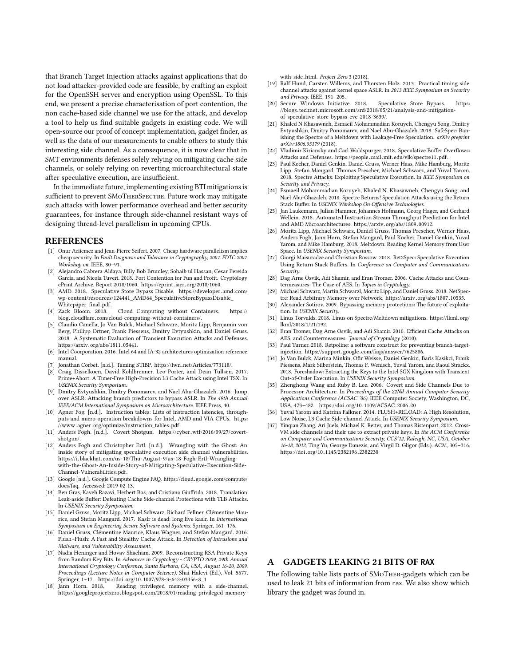that Branch Target Injection attacks against applications that do not load attacker-provided code are feasible, by crafting an exploit for the OpenSSH server and encryption using OpenSSL. To this end, we present a precise characterisation of port contention, the non cache-based side channel we use for the attack, and develop a tool to help us find suitable gadgets in existing code. We will open-source our proof of concept implementation, gadget finder, as well as the data of our measurements to enable others to study this interesting side channel. As a consequence, it is now clear that in SMT environments defenses solely relying on mitigating cache side channels, or solely relying on reverting microarchitectural state after speculative execution, are insufficient.

In the immediate future, implementing existing BTI mitigations is sufficient to prevent SMoTHERSPECTRE. Future work may mitigate such attacks with lower performance overhead and better security guarantees, for instance through side-channel resistant ways of designing thread-level parallelism in upcoming CPUs.

#### REFERENCES

- <span id="page-13-8"></span>[1] Onur Aciicmez and Jean-Pierre Seifert. 2007. Cheap hardware parallelism implies cheap security. In Fault Diagnosis and Tolerance in Cryptography, 2007. FDTC 2007. Workshop on. IEEE, 80–91.
- <span id="page-13-9"></span>[2] Alejandro Cabrera Aldaya, Billy Bob Brumley, Sohaib ul Hassan, Cesar Pereida García, and Nicola Tuveri. 2018. Port Contention for Fun and Profit. Cryptology
- <span id="page-13-30"></span>ePrint Archive, Report 2018/1060. https://eprint.iacr.[org/2018/1060.](https://eprint.iacr.org/2018/1060)<br>[3] AMD. 2018. Speculative Store Bypass Disable. [https://developer](https://developer.amd.com/wp-content/resources/124441_AMD64_SpeculativeStoreBypassDisable_Whitepaper_final.pdf).amd.com/<br>wn-content/resources/124441\_AMD64\_SpeculativeStoreRynassDisable [wp-content/resources/124441\\_AMD64\\_SpeculativeStoreBypassDisable\\_](https://developer.amd.com/wp-content/resources/124441_AMD64_SpeculativeStoreBypassDisable_Whitepaper_final.pdf) [Whitepaper\\_final](https://developer.amd.com/wp-content/resources/124441_AMD64_SpeculativeStoreBypassDisable_Whitepaper_final.pdf).pdf.<br>[4] Zack Bloom. 2018.
- <span id="page-13-15"></span>Cloud Computing without Containers. [https://](https://blog.cloudflare.com/cloud-computing-without-containers/) blog.cloudflare.[com/cloud-computing-without-containers/.](https://blog.cloudflare.com/cloud-computing-without-containers/)
- <span id="page-13-4"></span>[5] Claudio Canella, Jo Van Bulck, Michael Schwarz, Moritz Lipp, Benjamin von Berg, Philipp Ortner, Frank Piessens, Dmitry Evtyushkin, and Daniel Gruss. 2018. A Systematic Evaluation of Transient Execution Attacks and Defenses. https://arxiv.[org/abs/1811](https://arxiv.org/abs/1811.05441).05441. [6] Intel Coorporation. 2016. Intel 64 and IA-32 architectures optimization reference
- <span id="page-13-12"></span>manual.
- <span id="page-13-26"></span>[7] Jonathan Corbet. [n.d.]. Taming STIBP. https://lwn.[net/Articles/773118/.]( https://lwn.net/Articles/773118/ )
- <span id="page-13-36"></span>[8] Craig Disselkoen, David Kohlbrenner, Leo Porter, and Dean Tullsen. 2017. Prime+Abort: A Timer-Free High-Precision L3 Cache Attack using Intel TSX. In USENIX Security Symposium.
- <span id="page-13-18"></span>[9] Dmitry Evtyushkin, Dmitry Ponomarev, and Nael Abu-Ghazaleh. 2016. Jump over ASLR: Attacking branch predictors to bypass ASLR. In The 49th Annual IEEE/ACM International Symposium on Microarchitecture. IEEE Press, 40.
- <span id="page-13-14"></span>[10] Agner Fog. [n.d.]. Instruction tables: Lists of instruction latencies, throughputs and micro-operation breakdowns for Intel, AMD and VIA CPUs. [https:](https://www.agner.org/optimize/instruction_tables.pdf) //www.agner.[org/optimize/instruction\\_tables](https://www.agner.org/optimize/instruction_tables.pdf).pdf.
- <span id="page-13-10"></span>[11] Anders Fogh. [n.d.]. Covert Shotgun. https://cyber.[wtf/2016/09/27/covert]( https://cyber.wtf/2016/09/27/covert-shotgun/ )[shotgun/.]( https://cyber.wtf/2016/09/27/covert-shotgun/ )
- <span id="page-13-25"></span>[12] Anders Fogh and Christopher Ertl. [n.d.]. Wrangling with the Ghost: An inside story of mitigating speculative execution side channel vulnerabilities. https://i.blackhat.[com/us-18/Thu-August-9/us-18-Fogh-Ertl-Wrangling](https://i.blackhat.com/us-18/Thu-August-9/us-18-Fogh-Ertl-Wrangling-with-the-Ghost-An-Inside-Story-of-Mitigating-Speculative-Execution-Side-Channel-Vulnerabilities.pdf)[with-the-Ghost-An-Inside-Story-of-Mitigating-Speculative-Execution-Side-](https://i.blackhat.com/us-18/Thu-August-9/us-18-Fogh-Ertl-Wrangling-with-the-Ghost-An-Inside-Story-of-Mitigating-Speculative-Execution-Side-Channel-Vulnerabilities.pdf)[Channel-Vulnerabilities](https://i.blackhat.com/us-18/Thu-August-9/us-18-Fogh-Ertl-Wrangling-with-the-Ghost-An-Inside-Story-of-Mitigating-Speculative-Execution-Side-Channel-Vulnerabilities.pdf).pdf.
- <span id="page-13-16"></span>[13] Google [n.d.]. Google Compute Engine FAQ. https://cloud.google.[com/compute/](https://cloud.google.com/compute/docs/faq) [docs/faq.](https://cloud.google.com/compute/docs/faq) Accessed: 2019-02-13.
- <span id="page-13-37"></span>[14] Ben Gras, Kaveh Razavi, Herbert Bos, and Cristiano Giuffrida. 2018. Translation Leak-aside Buffer: Defeating Cache Side-channel Protections with TLB Attacks. In USENIX Security Symposium.
- <span id="page-13-5"></span>[15] Daniel Gruss, Moritz Lipp, Michael Schwarz, Richard Fellner, Clémentine Maurice, and Stefan Mangard. 2017. Kaslr is dead: long live kaslr. In International Symposium on Engineering Secure Software and Systems. Springer, 161–176.
- <span id="page-13-35"></span>[16] Daniel Gruss, Clémentine Maurice, Klaus Wagner, and Stefan Mangard. 2016. Flush+Flush: A Fast and Stealthy Cache Attack. In Detection of Intrusions and Malware, and Vulnerability Assessment.
- <span id="page-13-23"></span>[17] Nadia Heninger and Hovav Shacham. 2009. Reconstructing RSA Private Keys from Random Key Bits. In Advances in Cryptology - CRYPTO 2009, 29th Annual International Cryptology Conference, Santa Barbara, CA, USA, August 16-20, 2009. Proceedings (Lecture Notes in Computer Science), Shai Halevi (Ed.), Vol. 5677. Springer, 1-17. https://doi.org/10.[1007/978-3-642-03356-8\\_1](https://doi.org/10.1007/978-3-642-03356-8_1)<br>[18] Jann Horn. 2018. Reading privileged memory with
- <span id="page-13-13"></span>Reading privileged memory with a side-channel. https://googleprojectzero.blogspot.[com/2018/01/reading-privileged-memory-](https://googleprojectzero.blogspot.com/2018/01/reading-privileged-memory-with-side.html)

[with-side](https://googleprojectzero.blogspot.com/2018/01/reading-privileged-memory-with-side.html).html. Project Zero 3 (2018).

- <span id="page-13-19"></span>[19] Ralf Hund, Carsten Willems, and Thorsten Holz. 2013. Practical timing side channel attacks against kernel space ASLR. In 2013 IEEE Symposium on Security and Privacy. IEEE, 191–205.
- <span id="page-13-31"></span>[20] Secure Windows Initiative. 2018. Speculative Store Bypass. [https:](https://blogs.technet.microsoft.com/srd/2018/05/21/analysis-and-mitigation-of-speculative-store-bypass-cve-2018-3639/) //blogs.technet.microsoft.[com/srd/2018/05/21/analysis-and-mitigation](https://blogs.technet.microsoft.com/srd/2018/05/21/analysis-and-mitigation-of-speculative-store-bypass-cve-2018-3639/)[of-speculative-store-bypass-cve-2018-3639/.](https://blogs.technet.microsoft.com/srd/2018/05/21/analysis-and-mitigation-of-speculative-store-bypass-cve-2018-3639/)
- <span id="page-13-7"></span>[21] Khaled N Khasawneh, Esmaeil Mohammadian Koruyeh, Chengyu Song, Dmitry Evtyushkin, Dmitry Ponomarev, and Nael Abu-Ghazaleh. 2018. SafeSpec: Banishing the Spectre of a Meltdown with Leakage-Free Speculation. arXiv preprint arXiv:1806.05179 (2018).
- <span id="page-13-28"></span>[22] Vladimir Kiriansky and Carl Waldspurger. 2018. Speculative Buffer Overflows: Attacks and Defenses. https://people.csail.mit.[edu/vlk/spectre11](https://people.csail.mit.edu/vlk/spectre11.pdf).pdf.
- <span id="page-13-0"></span>[23] Paul Kocher, Daniel Genkin, Daniel Gruss, Werner Haas, Mike Hamburg, Moritz Lipp, Stefan Mangard, Thomas Prescher, Michael Schwarz, and Yuval Yarom. 2018. Spectre Attacks: Exploiting Speculative Execution. In IEEE Symposium on Security and Privacy.
- <span id="page-13-1"></span>[24] Esmaeil Mohammadian Koruyeh, Khaled N. Khasawneh, Chengyu Song, and Nael Abu-Ghazaleh. 2018. Spectre Returns! Speculation Attacks using the Return Stack Buffer. In USENIX Workshop On Offensive Technologies.
- <span id="page-13-22"></span>[25] Jan Laukemann, Julian Hammer, Johannes Hofmann, Georg Hager, and Gerhard Wellein. 2018. Automated Instruction Stream Throughput Prediction for Intel and AMD Microarchitectures. https://arxiv.[org/abs/1809](https://arxiv.org/abs/1809.00912).00912.
- <span id="page-13-3"></span>[26] Moritz Lipp, Michael Schwarz, Daniel Gruss, Thomas Prescher, Werner Haas, Anders Fogh, Jann Horn, Stefan Mangard, Paul Kocher, Daniel Genkin, Yuval Yarom, and Mike Hamburg. 2018. Meltdown: Reading Kernel Memory from User Space. In USENIX Security Symposium.
- <span id="page-13-27"></span>[27] Giorgi Maisuradze and Christian Rossow. 2018. Ret2Spec: Speculative Execution Using Return Stack Buffers. In Conference on Computer and Communications Security.
- <span id="page-13-32"></span>[28] Dag Arne Osvik, Adi Shamir, and Eran Tromer. 2006. Cache Attacks and Countermeasures: The Case of AES. In Topics in Cryptology.
- <span id="page-13-2"></span>[29] Michael Schwarz, Martin Schwarzl, Moritz Lipp, and Daniel Gruss, 2018. NetSpectre: Read Arbitrary Memory over Network. https://arxiv.[org/abs/1807](https://arxiv.org/abs/1807.10535).10535.
- <span id="page-13-20"></span>[30] Alexander Sotirov. 2009. Bypassing memory protections: The future of exploitation. In USENIX Security.
- <span id="page-13-17"></span>[31] Linus Torvalds. 2018. Linus on Spectre/Meltdown mitigations. [https://lkml](https://lkml.org/lkml/2018/1/21/192).org/ [lkml/2018/1/21/192.](https://lkml.org/lkml/2018/1/21/192)
- <span id="page-13-33"></span>[32] Eran Tromer, Dag Arne Osvik, and Adi Shamir. 2010. Efficient Cache Attacks on AES, and Countermeasures. Journal of Cryptology (2010).
- <span id="page-13-6"></span>[33] Paul Turner. 2018. Retpoline: a software construct for preventing branch-targetinjection. https://support.google.[com/faqs/answer/7625886.](https://support.google.com/faqs/answer/7625886)
- <span id="page-13-29"></span>[34] Jo Van Bulck, Marina Minkin, Ofir Weisse, Daniel Genkin, Baris Kasikci, Frank Piessens, Mark Silberstein, Thomas F. Wenisch, Yuval Yarom, and Raoul Strackx. 2018. Foreshadow: Extracting the Keys to the Intel SGX Kingdom with Transient Out-of-Order Execution. In USENIX Security Symposium.
- <span id="page-13-11"></span>[35] Zhenghong Wang and Ruby B. Lee. 2006. Covert and Side Channels Due to Processor Architecture. In Proceedings of the 22Nd Annual Computer Security Applications Conference (ACSAC '06). IEEE Computer Society, Washington, DC, USA, 473–482. https://doi.org/10.[1109/ACSAC](https://doi.org/10.1109/ACSAC.2006.20).2006.<sup>20</sup>
- <span id="page-13-34"></span>[36] Yuval Yarom and Katrina Falkner. 2014. FLUSH+RELOAD: A High Resolution, Low Noise, L3 Cache Side-channel Attack. In USENIX Security Symposium.
- <span id="page-13-24"></span>[37] Yinqian Zhang, Ari Juels, Michael K. Reiter, and Thomas Ristenpart. 2012. Cross-VM side channels and their use to extract private keys. In the ACM Conference on Computer and Communications Security, CCS'12, Raleigh, NC, USA, October 16-18, 2012, Ting Yu, George Danezis, and Virgil D. Gligor (Eds.). ACM, 305–316. https://doi.org/10.[1145/2382196](https://doi.org/10.1145/2382196.2382230).<sup>2382230</sup>

# <span id="page-13-21"></span>A GADGETS LEAKING 21 BITS OF **RAX**

The following table lists parts of SMoTher-gadgets which can be used to leak 21 bits of information from rax. We also show which library the gadget was found in.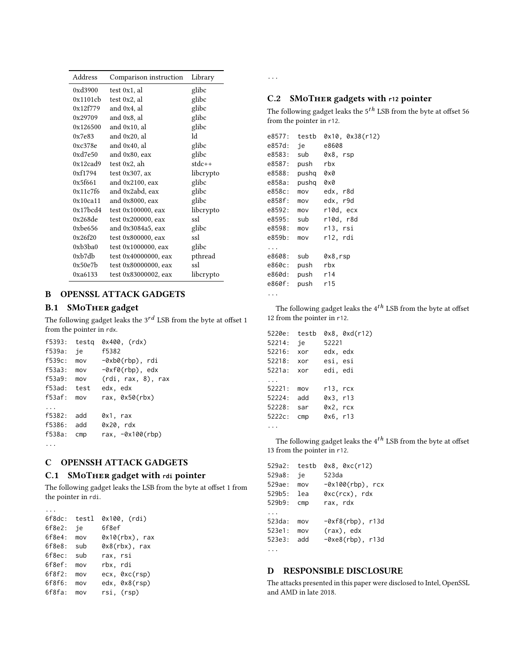| Address                 | Comparison instruction | Library   |
|-------------------------|------------------------|-----------|
| 0xd3900                 | test 0x1, al           | glibc     |
| 0x1101cb                | test 0x2, al           | glibc     |
| 0x12f779                | and 0x4, al            | glibc     |
| 0x29709                 | and 0x8, al            | glibc     |
| 0x126500                | and 0x10, al           | glibc     |
| 0x7e83                  | and 0x20, al           | 1d        |
| 0xc378e                 | and 0x40, al           | glibc     |
| 0xd7e50                 | and 0x80, eax          | glibc     |
| 0x12cad9                | test 0x2, ah           | stdc++    |
| 0xf1794                 | test $0x307$ , ax      | libcrypto |
| 0x5f661                 | and $0x2100$ , eax     | glibc     |
| 0x11c7f6                | and 0x2abd, eax        | glibc     |
| 0x10ca11                | and 0x8000, eax        | glibc     |
| $0x17$ bcd4             | test 0x100000, eax     | libcrypto |
| 0x268de                 | test 0x200000, eax     | ssl       |
| 0xbe656                 | and 0x3084a5, eax      | glibc     |
| 0x26f20                 | test 0x800000, eax     | ssl       |
| 0xb3ba0                 | test 0x1000000, eax    | glibc     |
| $0xb$ <sub>7</sub> $db$ | test 0x40000000, eax   | pthread   |
| 0x50e7b                 | test 0x80000000, eax   | ssl       |
| 0xa6133                 | test 0x83000002, eax   | libcrypto |

# <span id="page-14-2"></span>B OPENSSL ATTACK GADGETS

# B.1 SMoTher gadget

The following gadget leaks the  $3^{rd}$  LSB from the byte at offset 1 from the pointer in rdx.

| f5393: | testg | 0x400, (rdx)                        |
|--------|-------|-------------------------------------|
| f539a: | ie    | f5382                               |
| f539c: | mov   | $-\theta$ xb $\theta$ (rbp), rdi    |
| f53a3: | mov   | $-\theta \times f\theta(rbp)$ , edx |
| f53a9: | mov   | (rdi, rax, 8), rax                  |
| f53ad: | test  | edx, edx                            |
| f53af: | mov   | rax, $0x50(rbx)$                    |
|        |       |                                     |
| f5382: | add   | 0x1, rax                            |
| f5386: | add   | 0x20, rdx                           |
| f538a: | CMD   | rax, $-\theta \times 100$ (rbp)     |
|        |       |                                     |

# <span id="page-14-0"></span>C OPENSSH ATTACK GADGETS

## C.1 SMoTher gadget with **rdi** pointer

The following gadget leaks the LSB from the byte at offset 1 from the pointer in rdi.

| 6f8dc:    | testl | 0x100, (rdi)      |
|-----------|-------|-------------------|
| 6f8e2:    | iе    | 6f8ef             |
| 6f8e4:    | mov   | $0x10(rbx)$ , rax |
| 6f8e8:    | sub   | $0x8(rbx)$ , rax  |
| 6f8ec:    | sub   | rax, rsi          |
| 6f8ef:    | mov   | rbx, rdi          |
| 6f8f2:    | mov   | ecx, 0xc(rsp)     |
| 6f8f6:    | mov   | edx, 0x8(rsp)     |
| $6f8fa$ : | mov   | rsi, (rsp)        |

...

...

# <span id="page-14-1"></span>C.2 SMoTher gadgets with **r12** pointer

The following gadget leaks the  $5^{tn}$  LSB from the byte at offset 56 from the pointer in r12.

| e8577:   | testb | 0x10, 0x38(r12) |
|----------|-------|-----------------|
| e857d:   | ie    | e8608           |
| e8583:   | sub   | 0x8, rsp        |
| e8587:   | push  | rbx             |
| e8588:   | pushq | 0x0             |
| e858a:   | pushq | 0x0             |
| e858c:   | mov   | edx, r8d        |
| e858f:   | mov   | edx, r9d        |
| e8592:   | mov   | r10d, ecx       |
| e8595:   | sub   | r10d. r8d       |
| e8598:   | mov   | r13. rsi        |
| e859b:   | mov   | r12. rdi        |
|          |       |                 |
| e8608:   | sub   | 0x8,rsp         |
| e860c:   | push  | rbx             |
| e860d:   | push  | r14             |
| e860f:   | push  | r15             |
| $\cdots$ |       |                 |

The following gadget leaks the  $4^{th}$  LSB from the byte at offset 12 from the pointer in r12.

| 5220e: | testb |          | 0x8, 0xd(r12) |
|--------|-------|----------|---------------|
| 52214: | ie    | 52221    |               |
| 52216: | xor   | edx, edx |               |
| 52218: | xor   | esi, esi |               |
| 5221a: | xor   | edi, edi |               |
|        |       |          |               |
| 52221: | mov   | r13. rcx |               |
| 52224: | add   | 0x3, r13 |               |
| 52228: | sar   | 0x2, rcx |               |
| 5222c: | CMD   | 0x6, r13 |               |
|        |       |          |               |

The following gadget leaks the  $4^{th}$  LSB from the byte at offset 13 from the pointer in r12.

| 529a2: | testb | $0x8$ , $0xc(r12)$                     |
|--------|-------|----------------------------------------|
| 529a8: | ie    | 523da                                  |
| 529ae: | mov   | $-\theta x100(rbp)$ , rcx              |
| 529h5: | lea   | $0xc(rcx)$ , rdx                       |
| 529b9: | CMD   | rax, rdx                               |
|        |       |                                        |
| 523da: | mov   | $-\theta \times f8(\text{rbp})$ , r13d |
| 523e1: | mov   | (rax), edx                             |
| 523e3: | add   | $-\theta$ xe8(rbp), r13d               |
|        |       |                                        |

## D RESPONSIBLE DISCLOSURE

The attacks presented in this paper were disclosed to Intel, OpenSSL and AMD in late 2018.